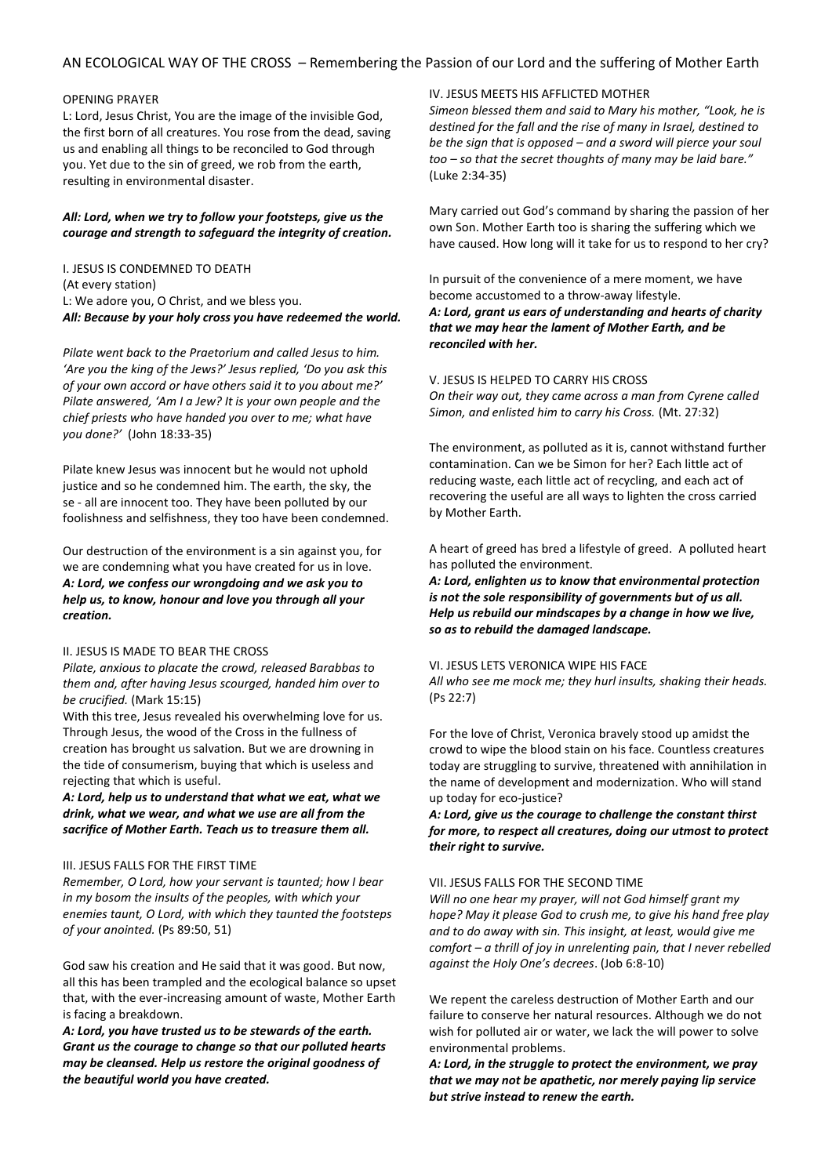# AN ECOLOGICAL WAY OF THE CROSS *–* Remembering the Passion of our Lord and the suffering of Mother Earth

# OPENING PRAYER

L: Lord, Jesus Christ, You are the image of the invisible God, the first born of all creatures. You rose from the dead, saving us and enabling all things to be reconciled to God through you. Yet due to the sin of greed, we rob from the earth, resulting in environmental disaster.

# *All: Lord, when we try to follow your footsteps, give us the courage and strength to safeguard the integrity of creation.*

I. JESUS IS CONDEMNED TO DEATH (At every station) L: We adore you, O Christ, and we bless you. *All: Because by your holy cross you have redeemed the world.*

*Pilate went back to the Praetorium and called Jesus to him. 'Are you the king of the Jews?' Jesus replied, 'Do you ask this of your own accord or have others said it to you about me?' Pilate answered, 'Am I a Jew? It is your own people and the chief priests who have handed you over to me; what have you done?'* (John 18:33-35)

Pilate knew Jesus was innocent but he would not uphold justice and so he condemned him. The earth, the sky, the se - all are innocent too. They have been polluted by our foolishness and selfishness, they too have been condemned.

Our destruction of the environment is a sin against you, for we are condemning what you have created for us in love. *A: Lord, we confess our wrongdoing and we ask you to help us, to know, honour and love you through all your creation.*

# II. JESUS IS MADE TO BEAR THE CROSS

*Pilate, anxious to placate the crowd, released Barabbas to them and, after having Jesus scourged, handed him over to be crucified.* (Mark 15:15)

With this tree, Jesus revealed his overwhelming love for us. Through Jesus, the wood of the Cross in the fullness of creation has brought us salvation. But we are drowning in the tide of consumerism, buying that which is useless and rejecting that which is useful.

*A: Lord, help us to understand that what we eat, what we drink, what we wear, and what we use are all from the sacrifice of Mother Earth. Teach us to treasure them all.*

#### III. JESUS FALLS FOR THE FIRST TIME

*Remember, O Lord, how your servant is taunted; how I bear in my bosom the insults of the peoples, with which your enemies taunt, O Lord, with which they taunted the footsteps of your anointed.* (Ps 89:50, 51)

God saw his creation and He said that it was good. But now, all this has been trampled and the ecological balance so upset that, with the ever-increasing amount of waste, Mother Earth is facing a breakdown.

*A: Lord, you have trusted us to be stewards of the earth. Grant us the courage to change so that our polluted hearts may be cleansed. Help us restore the original goodness of the beautiful world you have created.*

# IV. JESUS MEETS HIS AFFLICTED MOTHER

*Simeon blessed them and said to Mary his mother, "Look, he is destined for the fall and the rise of many in Israel, destined to be the sign that is opposed – and a sword will pierce your soul too – so that the secret thoughts of many may be laid bare."*  (Luke 2:34-35)

Mary carried out God's command by sharing the passion of her own Son. Mother Earth too is sharing the suffering which we have caused. How long will it take for us to respond to her cry?

In pursuit of the convenience of a mere moment, we have become accustomed to a throw-away lifestyle. *A: Lord, grant us ears of understanding and hearts of charity that we may hear the lament of Mother Earth, and be reconciled with her.*

# V. JESUS IS HELPED TO CARRY HIS CROSS

*On their way out, they came across a man from Cyrene called Simon, and enlisted him to carry his Cross.* (Mt. 27:32)

The environment, as polluted as it is, cannot withstand further contamination. Can we be Simon for her? Each little act of reducing waste, each little act of recycling, and each act of recovering the useful are all ways to lighten the cross carried by Mother Earth.

A heart of greed has bred a lifestyle of greed. A polluted heart has polluted the environment.

*A: Lord, enlighten us to know that environmental protection is not the sole responsibility of governments but of us all. Help us rebuild our mindscapes by a change in how we live, so as to rebuild the damaged landscape.*

# VI. JESUS LETS VERONICA WIPE HIS FACE

*All who see me mock me; they hurl insults, shaking their heads.* (Ps 22:7)

For the love of Christ, Veronica bravely stood up amidst the crowd to wipe the blood stain on his face. Countless creatures today are struggling to survive, threatened with annihilation in the name of development and modernization. Who will stand up today for eco-justice?

*A: Lord, give us the courage to challenge the constant thirst for more, to respect all creatures, doing our utmost to protect their right to survive.*

# VII. JESUS FALLS FOR THE SECOND TIME

*Will no one hear my prayer, will not God himself grant my hope? May it please God to crush me, to give his hand free play and to do away with sin. This insight, at least, would give me comfort – a thrill of joy in unrelenting pain, that I never rebelled against the Holy One's decrees*. (Job 6:8-10)

We repent the careless destruction of Mother Earth and our failure to conserve her natural resources. Although we do not wish for polluted air or water, we lack the will power to solve environmental problems.

*A: Lord, in the struggle to protect the environment, we pray that we may not be apathetic, nor merely paying lip service but strive instead to renew the earth.*